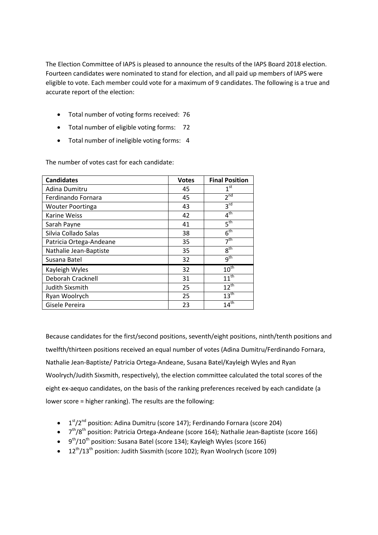The Election Committee of IAPS is pleased to announce the results of the IAPS Board 2018 election. Fourteen candidates were nominated to stand for election, and all paid up members of IAPS were eligible to vote. Each member could vote for a maximum of 9 candidates. The following is a true and accurate report of the election:

- Total number of voting forms received: 76
- Total number of eligible voting forms: 72
- Total number of ineligible voting forms: 4

| <b>Candidates</b>       | <b>Votes</b> | <b>Final Position</b> |
|-------------------------|--------------|-----------------------|
| Adina Dumitru           | 45           | 1 <sup>st</sup>       |
| Ferdinando Fornara      | 45           | $2^{nd}$              |
| <b>Wouter Poortinga</b> | 43           | 3 <sup>rd</sup>       |
| <b>Karine Weiss</b>     | 42           | 4 <sup>th</sup>       |
| Sarah Payne             | 41           | $5^{\text{th}}$       |
| Silvia Collado Salas    | 38           | 6 <sup>th</sup>       |
| Patricia Ortega-Andeane | 35           | 7 <sup>th</sup>       |
| Nathalie Jean-Baptiste  | 35           | 8 <sup>th</sup>       |
| Susana Batel            | 32           | $q^{th}$              |
| Kayleigh Wyles          | 32           | $10^{\overline{th}}$  |
| Deborah Cracknell       | 31           | $11^{th}$             |
| Judith Sixsmith         | 25           | $12^{th}$             |
| Ryan Woolrych           | 25           | 13 <sup>th</sup>      |
| Gisele Pereira          | 23           | $14^{\text{th}}$      |

The number of votes cast for each candidate:

Because candidates for the first/second positions, seventh/eight positions, ninth/tenth positions and twelfth/thirteen positions received an equal number of votes (Adina Dumitru/Ferdinando Fornara, Nathalie Jean-Baptiste/ Patricia Ortega-Andeane, Susana Batel/Kayleigh Wyles and Ryan Woolrych/Judith Sixsmith, respectively), the election committee calculated the total scores of the eight ex-aequo candidates, on the basis of the ranking preferences received by each candidate (a lower score = higher ranking). The results are the following:

- $\bullet$  1<sup>st</sup>/2<sup>nd</sup> position: Adina Dumitru (score 147); Ferdinando Fornara (score 204)
- 7<sup>th</sup>/8<sup>th</sup> position: Patricia Ortega-Andeane (score 164); Nathalie Jean-Baptiste (score 166)
- $\bullet$  9<sup>th</sup>/10<sup>th</sup> position: Susana Batel (score 134); Kayleigh Wyles (score 166)
- $\bullet$  12<sup>th</sup>/13<sup>th</sup> position: Judith Sixsmith (score 102); Ryan Woolrych (score 109)